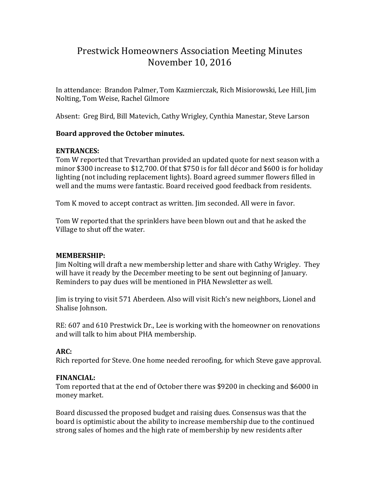# Prestwick Homeowners Association Meeting Minutes November 10, 2016

In attendance: Brandon Palmer, Tom Kazmierczak, Rich Misiorowski, Lee Hill, Jim Nolting, Tom Weise, Rachel Gilmore

Absent: Greg Bird, Bill Matevich, Cathy Wrigley, Cynthia Manestar, Steve Larson

## **Board approved the October minutes.**

## **ENTRANCES:**

Tom W reported that Trevarthan provided an updated quote for next season with a minor \$300 increase to \$12,700. Of that \$750 is for fall décor and \$600 is for holiday lighting (not including replacement lights). Board agreed summer flowers filled in well and the mums were fantastic. Board received good feedback from residents.

Tom K moved to accept contract as written. Jim seconded. All were in favor.

Tom W reported that the sprinklers have been blown out and that he asked the Village to shut off the water.

# **MEMBERSHIP:**

Jim Nolting will draft a new membership letter and share with Cathy Wrigley. They will have it ready by the December meeting to be sent out beginning of January. Reminders to pay dues will be mentioned in PHA Newsletter as well.

Jim is trying to visit 571 Aberdeen. Also will visit Rich's new neighbors, Lionel and Shalise Johnson.

RE: 607 and 610 Prestwick Dr., Lee is working with the homeowner on renovations and will talk to him about PHA membership.

# **ARC:**

Rich reported for Steve. One home needed reroofing, for which Steve gave approval.

#### **FINANCIAL:**

Tom reported that at the end of October there was \$9200 in checking and \$6000 in money market.

Board discussed the proposed budget and raising dues. Consensus was that the board is optimistic about the ability to increase membership due to the continued strong sales of homes and the high rate of membership by new residents after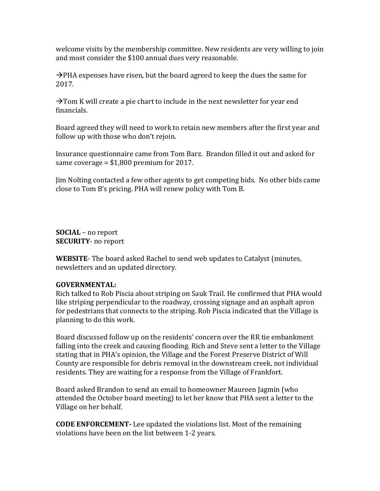welcome visits by the membership committee. New residents are very willing to join and most consider the \$100 annual dues very reasonable.

 $\rightarrow$ PHA expenses have risen, but the board agreed to keep the dues the same for 2017.

 $\rightarrow$  Tom K will create a pie chart to include in the next newsletter for year end financials.

Board agreed they will need to work to retain new members after the first year and follow up with those who don't rejoin.

Insurance questionnaire came from Tom Barz. Brandon filled it out and asked for same coverage = \$1,800 premium for 2017.

Jim Nolting contacted a few other agents to get competing bids. No other bids came close to Tom B's pricing. PHA will renew policy with Tom B.

**SOCIAL** – no report **SECURITY**- no report

**WEBSITE**- The board asked Rachel to send web updates to Catalyst (minutes, newsletters and an updated directory.

#### **GOVERNMENTAL:**

Rich talked to Rob Piscia about striping on Sauk Trail. He confirmed that PHA would like striping perpendicular to the roadway, crossing signage and an asphalt apron for pedestrians that connects to the striping. Rob Piscia indicated that the Village is planning to do this work.

Board discussed follow up on the residents' concern over the RR tie embankment falling into the creek and causing flooding. Rich and Steve sent a letter to the Village stating that in PHA's opinion, the Village and the Forest Preserve District of Will County are responsible for debris removal in the downstream creek, not individual residents. They are waiting for a response from the Village of Frankfort.

Board asked Brandon to send an email to homeowner Maureen Jagmin (who attended the October board meeting) to let her know that PHA sent a letter to the Village on her behalf.

**CODE ENFORCEMENT-** Lee updated the violations list. Most of the remaining violations have been on the list between 1-2 years.